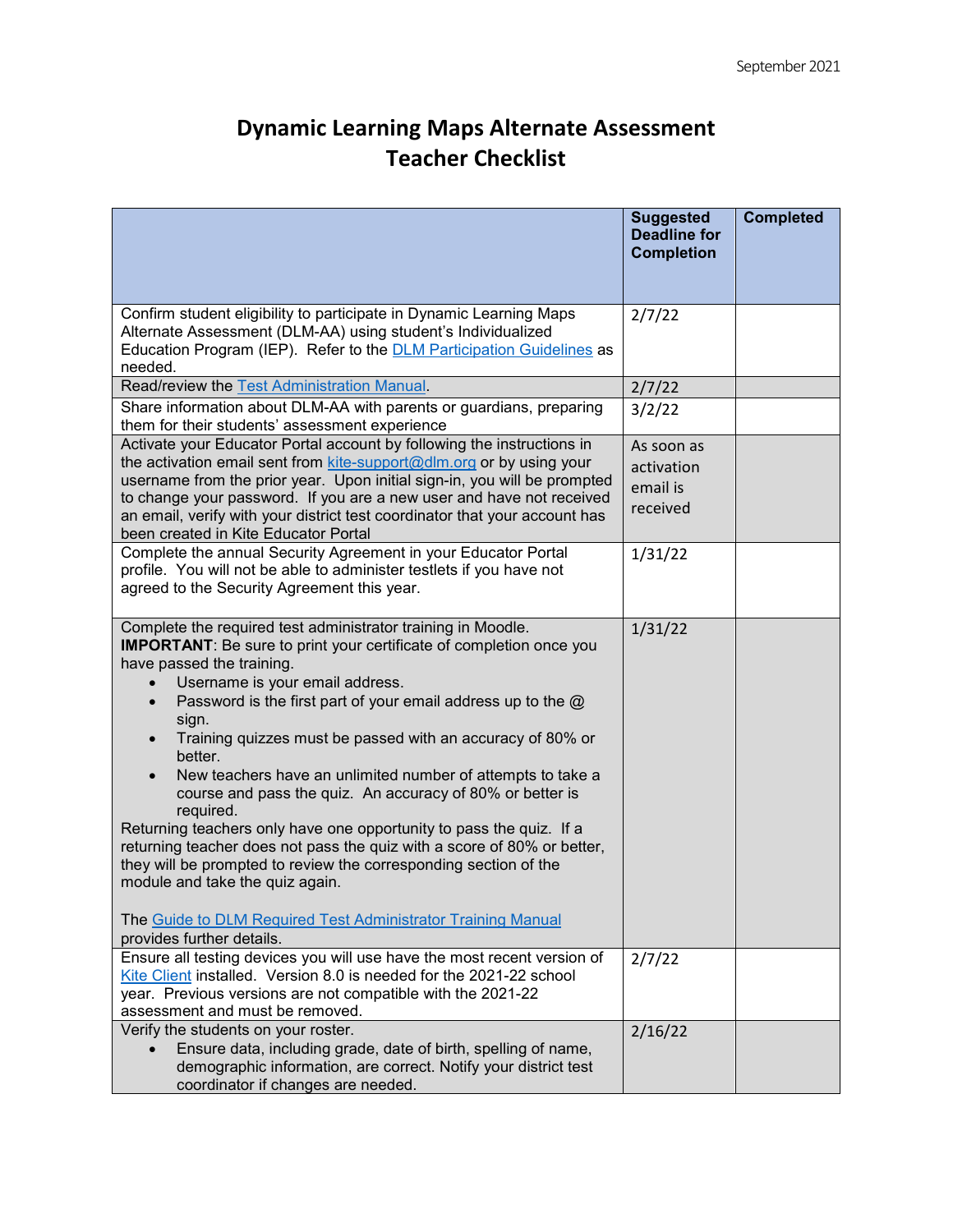## **Dynamic Learning Maps Alternate Assessment Teacher Checklist**

|                                                                                                                                                                                                                                                                                                                                                                                                                                                                                                                                                                                                                                                                                                                                                                                                                                                                            | <b>Suggested</b><br><b>Deadline for</b><br><b>Completion</b> | <b>Completed</b> |
|----------------------------------------------------------------------------------------------------------------------------------------------------------------------------------------------------------------------------------------------------------------------------------------------------------------------------------------------------------------------------------------------------------------------------------------------------------------------------------------------------------------------------------------------------------------------------------------------------------------------------------------------------------------------------------------------------------------------------------------------------------------------------------------------------------------------------------------------------------------------------|--------------------------------------------------------------|------------------|
| Confirm student eligibility to participate in Dynamic Learning Maps<br>Alternate Assessment (DLM-AA) using student's Individualized<br>Education Program (IEP). Refer to the <b>DLM Participation Guidelines</b> as<br>needed.                                                                                                                                                                                                                                                                                                                                                                                                                                                                                                                                                                                                                                             | 2/7/22                                                       |                  |
| Read/review the Test Administration Manual.                                                                                                                                                                                                                                                                                                                                                                                                                                                                                                                                                                                                                                                                                                                                                                                                                                | 2/7/22                                                       |                  |
| Share information about DLM-AA with parents or guardians, preparing<br>them for their students' assessment experience                                                                                                                                                                                                                                                                                                                                                                                                                                                                                                                                                                                                                                                                                                                                                      | 3/2/22                                                       |                  |
| Activate your Educator Portal account by following the instructions in<br>the activation email sent from kite-support@dlm.org or by using your<br>username from the prior year. Upon initial sign-in, you will be prompted<br>to change your password. If you are a new user and have not received<br>an email, verify with your district test coordinator that your account has<br>been created in Kite Educator Portal                                                                                                                                                                                                                                                                                                                                                                                                                                                   | As soon as<br>activation<br>email is<br>received             |                  |
| Complete the annual Security Agreement in your Educator Portal<br>profile. You will not be able to administer testlets if you have not<br>agreed to the Security Agreement this year.                                                                                                                                                                                                                                                                                                                                                                                                                                                                                                                                                                                                                                                                                      | 1/31/22                                                      |                  |
| Complete the required test administrator training in Moodle.<br><b>IMPORTANT:</b> Be sure to print your certificate of completion once you<br>have passed the training.<br>Username is your email address.<br>Password is the first part of your email address up to the $@$<br>$\bullet$<br>sign.<br>Training quizzes must be passed with an accuracy of 80% or<br>better.<br>New teachers have an unlimited number of attempts to take a<br>course and pass the quiz. An accuracy of 80% or better is<br>required.<br>Returning teachers only have one opportunity to pass the quiz. If a<br>returning teacher does not pass the quiz with a score of 80% or better,<br>they will be prompted to review the corresponding section of the<br>module and take the quiz again.<br>The Guide to DLM Required Test Administrator Training Manual<br>provides further details. | 1/31/22                                                      |                  |
| Ensure all testing devices you will use have the most recent version of<br>Kite Client installed. Version 8.0 is needed for the 2021-22 school<br>year. Previous versions are not compatible with the 2021-22<br>assessment and must be removed.                                                                                                                                                                                                                                                                                                                                                                                                                                                                                                                                                                                                                           | 2/7/22                                                       |                  |
| Verify the students on your roster.<br>Ensure data, including grade, date of birth, spelling of name,<br>demographic information, are correct. Notify your district test<br>coordinator if changes are needed.                                                                                                                                                                                                                                                                                                                                                                                                                                                                                                                                                                                                                                                             | 2/16/22                                                      |                  |